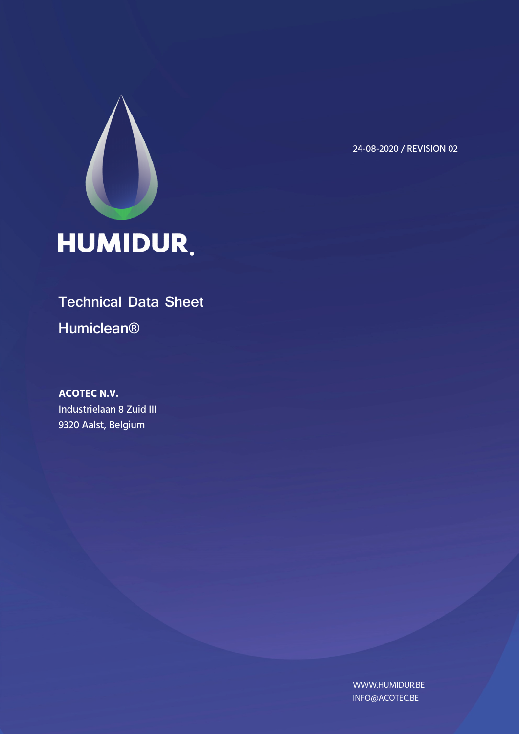

24-08-2020 / REVISION 02

# **Technical Data Sheet Humiclean®**

**ACOTEC N.V.**  Industrielaan 8 Zuid III 9320 Aalst, Belgium

> WWW.HUMIDUR.BE INFO@ACOTEC.BE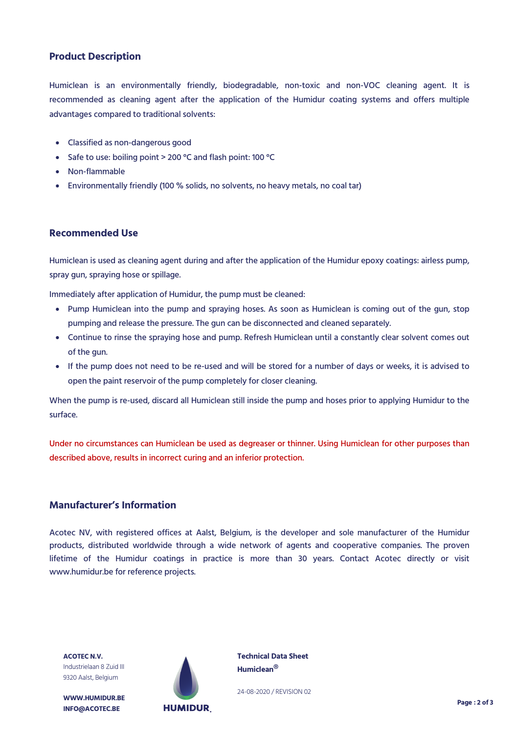### **Product Description**

Humiclean is an environmentally friendly, biodegradable, non-toxic and non-VOC cleaning agent. It is recommended as cleaning agent after the application of the Humidur coating systems and offers multiple advantages compared to traditional solvents:

- Classified as non-dangerous good
- Safe to use: boiling point > 200 °C and flash point: 100 °C
- Non-flammable
- Environmentally friendly (100 % solids, no solvents, no heavy metals, no coal tar)

#### **Recommended Use**

Humiclean is used as cleaning agent during and after the application of the Humidur epoxy coatings: airless pump, spray gun, spraying hose or spillage.

Immediately after application of Humidur, the pump must be cleaned:

- Pump Humiclean into the pump and spraying hoses. As soon as Humiclean is coming out of the gun, stop pumping and release the pressure. The gun can be disconnected and cleaned separately.
- Continue to rinse the spraying hose and pump. Refresh Humiclean until a constantly clear solvent comes out of the gun.
- If the pump does not need to be re-used and will be stored for a number of days or weeks, it is advised to open the paint reservoir of the pump completely for closer cleaning.

When the pump is re-used, discard all Humiclean still inside the pump and hoses prior to applying Humidur to the surface.

Under no circumstances can Humiclean be used as degreaser or thinner. Using Humiclean for other purposes than described above, results in incorrect curing and an inferior protection.

#### **Manufacturer's Information**

Acotec NV, with registered offices at Aalst, Belgium, is the developer and sole manufacturer of the Humidur products, distributed worldwide through a wide network of agents and cooperative companies. The proven lifetime of the Humidur coatings in practice is more than 30 years. Contact Acotec directly or visit www.humidur.be for reference projects.

**ACOTEC N.V.** Industrielaan 8 Zuid III 9320 Aalst, Belgium

**WWW.HUMIDUR.BE INFO@ACOTEC.BE** 



**Technical Data Sheet Humiclean®**

24-08-2020 / REVISION 02